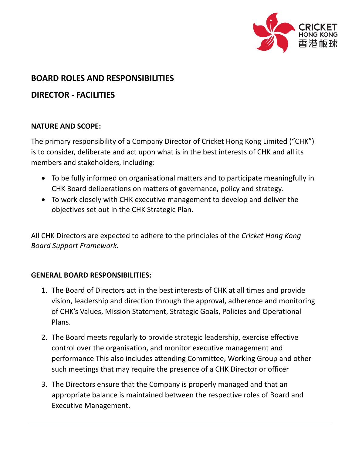

## **BOARD ROLES AND RESPONSIBILITIES**

# **DIRECTOR - FACILITIES**

#### **NATURE AND SCOPE:**

The primary responsibility of a Company Director of Cricket Hong Kong Limited ("CHK") is to consider, deliberate and act upon what is in the best interests of CHK and all its members and stakeholders, including:

- To be fully informed on organisational matters and to participate meaningfully in CHK Board deliberations on matters of governance, policy and strategy.
- To work closely with CHK executive management to develop and deliver the objectives set out in the CHK Strategic Plan.

All CHK Directors are expected to adhere to the principles of the *Cricket Hong Kong Board Support Framework.*

#### **GENERAL BOARD RESPONSIBILITIES:**

- 1. The Board of Directors act in the best interests of CHK at all times and provide vision, leadership and direction through the approval, adherence and monitoring of CHK's Values, Mission Statement, Strategic Goals, Policies and Operational Plans.
- 2. The Board meets regularly to provide strategic leadership, exercise effective control over the organisation, and monitor executive management and performance This also includes attending Committee, Working Group and other such meetings that may require the presence of a CHK Director or officer
- 3. The Directors ensure that the Company is properly managed and that an appropriate balance is maintained between the respective roles of Board and Executive Management.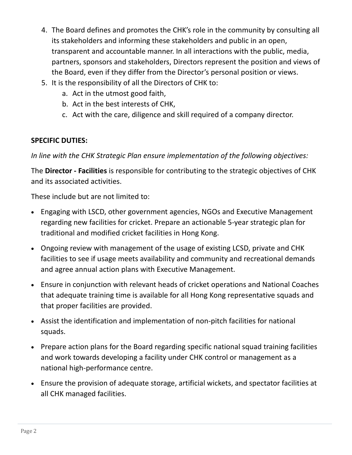- 4. The Board defines and promotes the CHK's role in the community by consulting all its stakeholders and informing these stakeholders and public in an open, transparent and accountable manner. In all interactions with the public, media, partners, sponsors and stakeholders, Directors represent the position and views of the Board, even if they differ from the Director's personal position or views.
- 5. It is the responsibility of all the Directors of CHK to:
	- a. Act in the utmost good faith,
	- b. Act in the best interests of CHK,
	- c. Act with the care, diligence and skill required of a company director.

### **SPECIFIC DUTIES:**

*In line with the CHK Strategic Plan ensure implementation of the following objectives:*

The **Director - Facilities** is responsible for contributing to the strategic objectives of CHK and its associated activities.

These include but are not limited to:

- Engaging with LSCD, other government agencies, NGOs and Executive Management regarding new facilities for cricket. Prepare an actionable 5-year strategic plan for traditional and modified cricket facilities in Hong Kong.
- Ongoing review with management of the usage of existing LCSD, private and CHK facilities to see if usage meets availability and community and recreational demands and agree annual action plans with Executive Management.
- Ensure in conjunction with relevant heads of cricket operations and National Coaches that adequate training time is available for all Hong Kong representative squads and that proper facilities are provided.
- Assist the identification and implementation of non-pitch facilities for national squads.
- Prepare action plans for the Board regarding specific national squad training facilities and work towards developing a facility under CHK control or management as a national high-performance centre.
- Ensure the provision of adequate storage, artificial wickets, and spectator facilities at all CHK managed facilities.